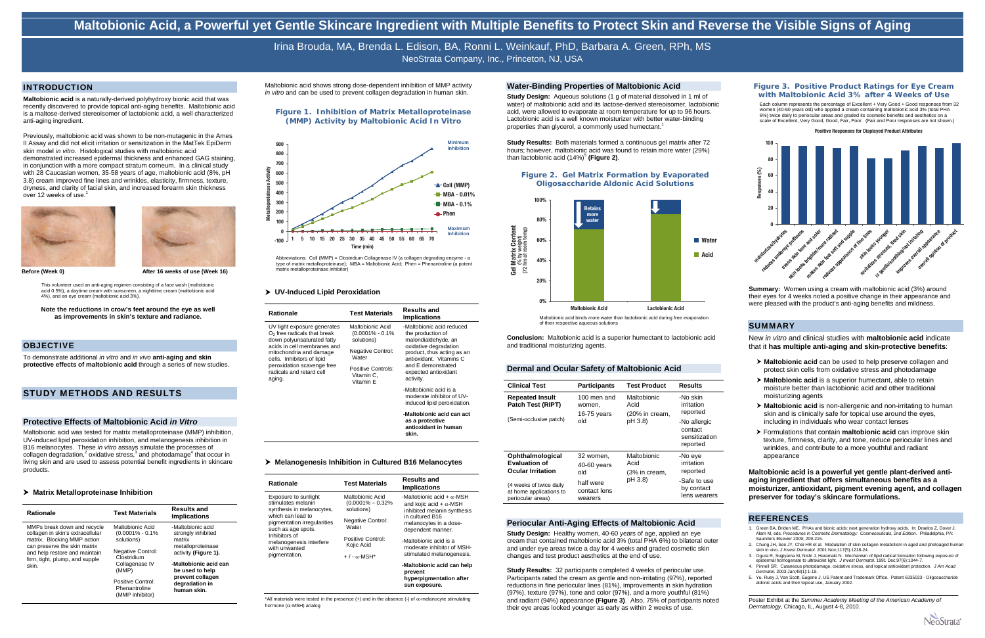Previously, maltobionic acid was shown to be non-mutagenic in the Ames II Assay and did not elicit irritation or sensitization in the MatTek EpiDerm skin model *in vitro*. Histological studies with maltobionic acid demonstrated increased epidermal thickness and enhanced GAG staining, in conjunction with a more compact stratum corneum. In a clinical study with 28 Caucasian women, 35-58 years of age, maltobionic acid (8%, pH 3.8) cream improved fine lines and wrinkles, elasticity, firmness, texture, dryness, and clarity of facial skin, and increased forearm skin thickness over 12 weeks of use.<sup>1</sup>





**Before (Week 0) Before** (Week 0) **After 16 weeks of use (Week 16)** 

Irina Brouda, MA, Brenda L. Edison, BA, Ronni L. Weinkauf, PhD, Barbara A. Green, RPh, MS NeoStrata Company, Inc., Princeton, NJ, USA

#### INTRODUCTION

**Maltobionic acid** is a naturally-derived polyhydroxy bionic acid that was recently discovered to provide topical anti-aging benefits. Maltobionic acid is a maltose-derived stereoisomer of lactobionic acid, a well characterized anti-aging ingredient.

This volunteer used an anti-aging regimen consisting of a face wash (maltobionic acid 0.5%), a daytime cream with sunscreen, a nighttime cream (maltobionic acid 4%), and an eye cream (maltobionic acid 3%).

#### **Note the reductions in crow's feet around the eye as well as improvements in skin's texture and radiance.**

#### **OBJECTIVE**

To demonstrate additional *in vitro* and *in vivo* **anti-aging and skin protective effects of maltobionic acid** through a series of new studies.

### STUDY METHODS AND RESULTS

#### **Protective Effects of Maltobionic Acid** *in Vitro*

Maltobionic acid was tested for matrix metalloproteinase (MMP) inhibition, UV-induced lipid peroxidation inhibition, and melanogenesis inhibition in B16 melanocytes. These *in vitro* assays simulate the processes of collagen degradation,<sup>2</sup> oxidative stress, $3$  and photodamage<sup>4</sup> that occur in living skin and are used to assess potential benefit ingredients in skincare products.

#### **Matrix Metalloproteinase Inhibition**

**Study Design:** Aqueous solutions (1 g of material dissolved in 1 ml of water) of maltobionic acid and its lactose-derived stereoisomer, lactobionic acid, were allowed to evaporate at room temperature for up to 96 hours. Lactobionic acid is a well known moisturizer with better water-binding properties than glycerol, a commonly used humectant.<sup>1</sup>

**Study Results:** Both materials formed a continuous gel matrix after 72 hours; however, maltobionic acid was found to retain more water (29%) than lactobionic acid (14%)<sup>5</sup> (Figure 2).

| <b>Rationale</b>                                                                                                                                                                                           | <b>Test Materials</b>                                                                                                                                                         | <b>Results and</b><br><b>Implications</b>                                                                                                                                                       |
|------------------------------------------------------------------------------------------------------------------------------------------------------------------------------------------------------------|-------------------------------------------------------------------------------------------------------------------------------------------------------------------------------|-------------------------------------------------------------------------------------------------------------------------------------------------------------------------------------------------|
| MMPs break down and recycle<br>collagen in skin's extracellular<br>matrix. Blocking MMP action<br>can preserve the skin matrix<br>and help restore and maintain<br>firm, tight, plump, and supple<br>skin. | Maltobionic Acid<br>$(0.0001\% - 0.1\%$<br>solutions)<br>Negative Control:<br>Clostridium<br>Collagenase IV<br>(MMP)<br>Positive Control:<br>Phenantroline<br>(MMP inhibitor) | -Maltobionic acid<br>strongly inhibited<br>matrix<br>metalloproteinase<br>activity (Figure 1).<br>-Maltobionic acid can<br>be used to help<br>prevent collagen<br>degradation in<br>human skin. |

Maltobionic acid shows strong dose-dependent inhibition of MMP activity *in vitro* and can be used to prevent collagen degradation in human skin.

**Figure 1. Inhibition of Matrix Metalloproteinase (MMP) Activity by Maltobionic Acid** *In Vitro*

Abbreviations: Coll (MMP) = Clostridium Collagenase IV (a collagen degrading enzyme - a type of matrix metalloproteinase); MBA = Maltobionic Acid; Phen = Phenantroline (a potent matrix metalloproteinase inhibitor)

#### **UV-Induced Lipid Peroxidation**

| <b>Rationale</b>                                                                                                                                                                                                                                       | <b>Test Materials</b>                                                                                                                        | <b>Results and</b><br><b>Implications</b>                                                                                                                                                                                                                                                               |
|--------------------------------------------------------------------------------------------------------------------------------------------------------------------------------------------------------------------------------------------------------|----------------------------------------------------------------------------------------------------------------------------------------------|---------------------------------------------------------------------------------------------------------------------------------------------------------------------------------------------------------------------------------------------------------------------------------------------------------|
| UV light exposure generates<br>$O2$ free radicals that break<br>down polyunsaturated fatty<br>acids in cell membranes and<br>mitochondria and damage<br>cells. Inhibitors of lipid<br>peroxidation scavenge free<br>radicals and retard cell<br>aging. | Maltobionic Acid<br>$(0.0001\% - 0.1\%)$<br>solutions)<br><b>Negative Control:</b><br>Water<br>Positive Controls:<br>Vitamin C.<br>Vitamin E | -Maltobionic acid reduced<br>the production of<br>malondialdehyde, an<br>oxidative degradation<br>product, thus acting as an<br>antioxidant Vitamins C<br>and E demonstrated<br>expected antioxidant<br>activity.<br>-Maltobionic acid is a<br>moderate inhibitor of UV-<br>induced lipid peroxidation. |

Each column represents the percentage of Excellent + Very Good + Good responses from 32 women (40-60 years old) who applied a cream containing maltobionic acid 3% (total PHA 6%) twice daily to periocular areas and graded its cosmetic benefits and aesthetics on a scale of Excellent, Very Good, Good, Fair, Poor. (Fair and Poor responses are not shown.)

**-Maltobionic acid can act as a protective antioxidant in human** 

**skin.** 

#### **Melanogenesis Inhibition in Cultured B16 Melanocytes**

| Rationale                                                                                                                                                          | <b>Test Materials</b>                                                                        | <b>Results and</b><br><b>Implications</b>                                                                                                                            |
|--------------------------------------------------------------------------------------------------------------------------------------------------------------------|----------------------------------------------------------------------------------------------|----------------------------------------------------------------------------------------------------------------------------------------------------------------------|
| Exposure to sunlight<br>stimulates melanin<br>synthesis in melanocytes,<br>which can lead to<br>pigmentation irregularities<br>such as age spots.<br>Inhibitors of | Maltobionic Acid<br>$(0.0001\% - 0.32\%)$<br>solutions)<br><b>Negative Control:</b><br>Water | -Maltobionic acid + $\alpha$ -MSH<br>and kojic acid + $\alpha$ -MSH<br>inhibited melanin synthesis<br>in cultured B16<br>melanocytes in a dose-<br>dependent manner. |
| melanogenesis interfere<br>with unwanted<br>pigmentation.                                                                                                          | Positive Control:<br>Kojic Acid<br>$+$ / - $\alpha$ -MSH*                                    | -Maltobionic acid is a<br>moderate inhibitor of MSH-<br>stimulated melanogenesis.                                                                                    |
|                                                                                                                                                                    |                                                                                              | -Maltobionic acid can help<br>prevent<br>hyperpigmentation after<br>sun exposure.                                                                                    |

 $*$ All materials were tested in the presence (+) and in the absence (-) of  $\alpha$ -melanocyte stimulating hormone ( $\alpha$ -MSH) analog

#### **Water-Binding Properties of Maltobionic Acid**

#### **Figure 2. Gel Matrix Formation by Evaporated Oligosaccharide Aldonic Acid Solutions**

of their respective aqueous solutions

**Conclusion:** Maltobionic acid is a superior humectant to lactobionic acid and traditional moisturizing agents.

#### **Dermal and Ocular Safety of Maltobionic Acid**

| <b>Clinical Test</b>                                                    | <b>Participants</b>                    | <b>Test Product</b>                             | <b>Results</b>                                       |
|-------------------------------------------------------------------------|----------------------------------------|-------------------------------------------------|------------------------------------------------------|
| <b>Repeated Insult</b><br>Patch Test (RIPT)                             | 100 men and<br>women,<br>$16-75$ years | Maltobionic<br>Acid<br>(20% in cream,           | -No skin<br>irritation<br>reported                   |
| (Semi-occlusive patch)                                                  | old                                    | pH 3.8)                                         | -No allergic<br>contact<br>sensitization<br>reported |
| Ophthalmological<br><b>Evaluation of</b><br><b>Ocular Irritation</b>    | 32 women.<br>40-60 years<br>old        | Maltobionic<br>Acid<br>(3% in cream,<br>pH 3.8) | -No eye<br>irritation<br>reported                    |
| (4 weeks of twice daily<br>at home applications to<br>periocular areas) | half were<br>contact lens<br>wearers   |                                                 | -Safe to use<br>by contact<br>lens wearers           |

#### **Periocular Anti-Aging Effects of Maltobionic Acid**

**Study Design:** Healthy women, 40-60 years of age, applied an eye cream that contained maltobionic acid 3% (total PHA 6%) to bilateral outer and under eye areas twice a day for 4 weeks and graded cosmetic skin changes and test product aesthetics at the end of use.

**Study Results:** 32 participants completed 4 weeks of periocular use. Participants rated the cream as gentle and non-irritating (97%), reported reductions in fine periocular lines (81%), improvements in skin hydration (97%), texture (97%), tone and color (97%), and a more youthful (81%) and radiant (94%) appearance **(Figure 3)**. Also, 75% of participants noted their eye areas looked younger as early as within 2 weeks of use.

### **Figure 3. Positive Product Ratings for Eye Cream with Maltobionic Acid 3% after 4 Weeks of Use**

**Summary:** Women using a cream with maltobionic acid (3%) around their eyes for 4 weeks noted a positive change in their appearance and were pleased with the product's anti-aging benefits and mildness.

### **SUMMARY**



New *in vitro* and clinical studies with **maltobionic acid** indicate that it **has multiple anti-aging and skin-protective benefits**:

- **Maltobionic acid** can be used to help preserve collagen and protect skin cells from oxidative stress and photodamage
- **Maltobionic acid** is a superior humectant, able to retain moisture better than lactobionic acid and other traditional moisturizing agents
- **Maltobionic acid** is non-allergenic and non-irritating to human skin and is clinically safe for topical use around the eyes, including in individuals who wear contact lenses
- Formulations that contain **maltobionic acid** can improve skin texture, firmness, clarity, and tone, reduce periocular lines and wrinkles, and contribute to a more youthful and radiant appearance

**Maltobionic acid is a powerful yet gentle plant-derived antiaging ingredient that offers simultaneous benefits as a moisturizer, antioxidant, pigment evening agent, and collagen preserver for today's skincare formulations.**

#### **REFERENCES**

- 1. Green BA, Briden ME. PHAs and bionic acids: next generation hydroxy acids. In: Draelos Z, Dover J, Alam M, eds. *Procedures in Cosmetic Dermatology: Cosmeceuticals, 2nd Edition*. Philadelphia, PA: Saunders Elsevier 2009; 209-215.
- 2. Chung JH, Seo JY, Choi HR et al. Modulation of skin collagen metabolism in aged and photoaged human skin in vivo. *J Invest Dermatol.* 2001 Nov;117(5):1218-24.
- 3. Ogura R, Sugiyama M, Nishi J, Haramaki N. Mechanism of lipid radical formation following exposure of mogenate to ultraviolet light. *J Invest Dermatol.* 1991 Dec;97(6):1044-7. 4. Pinnell SR. Cutaneous photodamage, oxidative stress, and topical antioxidant protection. *J Am Acad*
- *Dermatol.* 2003 Jan;48(1):1-19. 5. Yu, Ruey J, Van Scott, Eugene J, US Patent and Trademark Office. Patent 6335023 - Oligosaccharid
- aldonic acids and their topical use, January 2002. \_\_\_\_\_\_\_\_\_\_\_\_\_\_\_\_\_\_\_\_\_\_\_\_\_\_\_\_\_\_\_\_\_\_\_\_\_\_\_

Poster Exhibit at the *Summer Academy Meeting of the American Academy of Dermatology*, Chicago, IL, August 4-8, 2010.





**Gel Matrix Content**

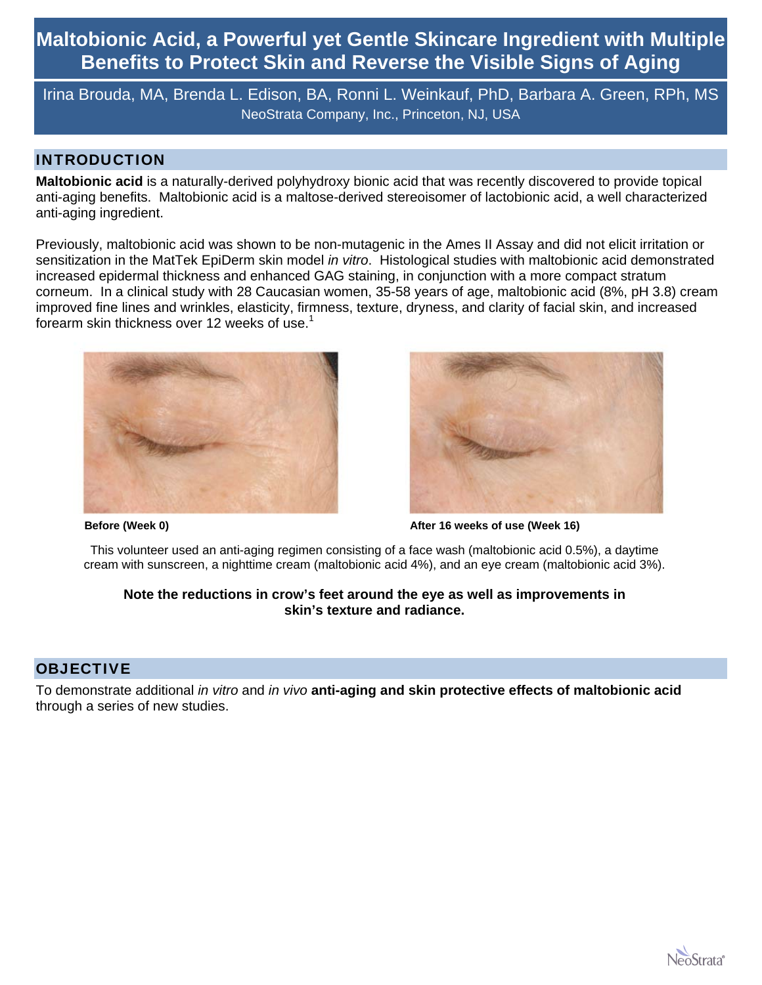Irina Brouda, MA, Brenda L. Edison, BA, Ronni L. Weinkauf, PhD, Barbara A. Green, RPh, MS NeoStrata Company, Inc., Princeton, NJ, USA

## INTRODUCTION

**Maltobionic acid** is a naturally-derived polyhydroxy bionic acid that was recently discovered to provide topical anti-aging benefits. Maltobionic acid is a maltose-derived stereoisomer of lactobionic acid, a well characterized anti-aging ingredient.

Previously, maltobionic acid was shown to be non-mutagenic in the Ames II Assay and did not elicit irritation or sensitization in the MatTek EpiDerm skin model *in vitro*. Histological studies with maltobionic acid demonstrated increased epidermal thickness and enhanced GAG staining, in conjunction with a more compact stratum corneum. In a clinical study with 28 Caucasian women, 35-58 years of age, maltobionic acid (8%, pH 3.8) cream improved fine lines and wrinkles, elasticity, firmness, texture, dryness, and clarity of facial skin, and increased forearm skin thickness over 12 weeks of use.<sup>1</sup>





**Before (Week 0) Before (Week 0) After 16 weeks of use (Week 16)** 

This volunteer used an anti-aging regimen consisting of a face wash (maltobionic acid 0.5%), a daytime cream with sunscreen, a nighttime cream (maltobionic acid 4%), and an eye cream (maltobionic acid 3%).

## **Note the reductions in crow's feet around the eye as well as improvements in skin's texture and radiance.**

## **OBJECTIVE**

To demonstrate additional *in vitro* and *in vivo* **anti-aging and skin protective effects of maltobionic acid**  through a series of new studies.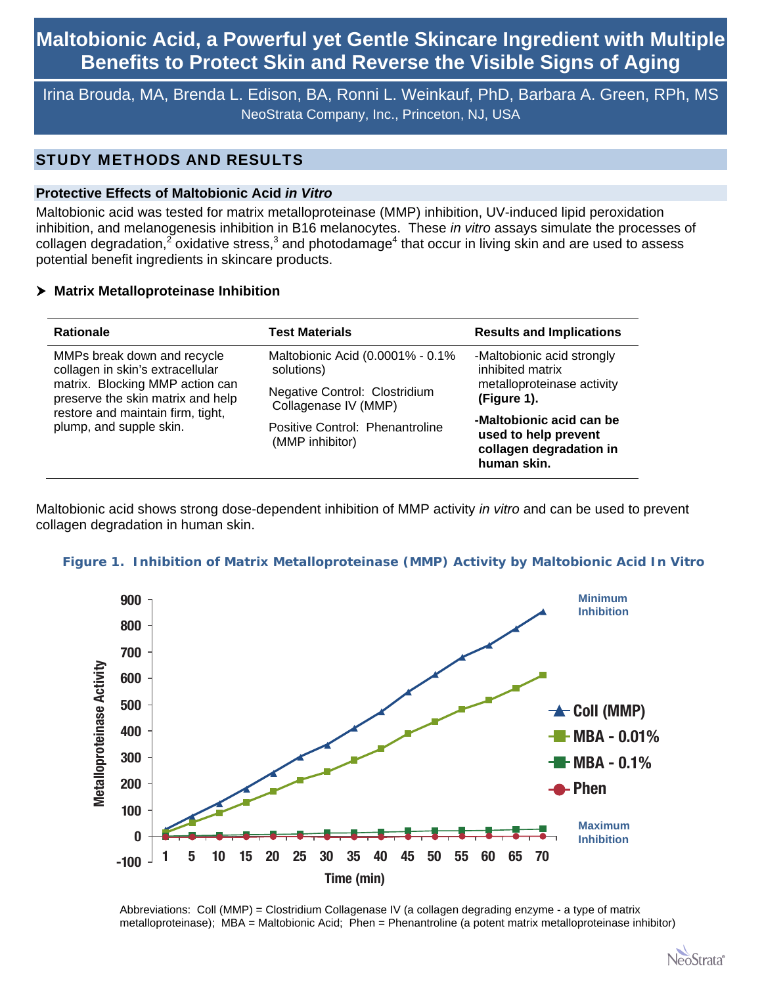Irina Brouda, MA, Brenda L. Edison, BA, Ronni L. Weinkauf, PhD, Barbara A. Green, RPh, MS NeoStrata Company, Inc., Princeton, NJ, USA

## STUDY METHODS AND RESULTS

### **Protective Effects of Maltobionic Acid** *in Vitro*

Maltobionic acid was tested for matrix metalloproteinase (MMP) inhibition, UV-induced lipid peroxidation inhibition, and melanogenesis inhibition in B16 melanocytes. These *in vitro* assays simulate the processes of collagen degradation,<sup>2</sup> oxidative stress,<sup>3</sup> and photodamage<sup>4</sup> that occur in living skin and are used to assess potential benefit ingredients in skincare products.

### **Matrix Metalloproteinase Inhibition**

| <b>Rationale</b>                                             | <b>Test Materials</b>                              | <b>Results and Implications</b>                                                            |
|--------------------------------------------------------------|----------------------------------------------------|--------------------------------------------------------------------------------------------|
| MMPs break down and recycle                                  | Maltobionic Acid (0.0001% - 0.1%                   | -Maltobionic acid strongly                                                                 |
| collagen in skin's extracellular                             | solutions)                                         | inhibited matrix                                                                           |
| matrix. Blocking MMP action can                              | Negative Control: Clostridium                      | metalloproteinase activity                                                                 |
| preserve the skin matrix and help                            | Collagenase IV (MMP)                               | (Figure 1).                                                                                |
| restore and maintain firm, tight,<br>plump, and supple skin. | Positive Control: Phenantroline<br>(MMP inhibitor) | -Maltobionic acid can be<br>used to help prevent<br>collagen degradation in<br>human skin. |

Maltobionic acid shows strong dose-dependent inhibition of MMP activity *in vitro* and can be used to prevent collagen degradation in human skin.

### **Figure 1. Inhibition of Matrix Metalloproteinase (MMP) Activity by Maltobionic Acid** *In Vitro*



Abbreviations: Coll (MMP) = Clostridium Collagenase IV (a collagen degrading enzyme - a type of matrix metalloproteinase); MBA = Maltobionic Acid; Phen = Phenantroline (a potent matrix metalloproteinase inhibitor)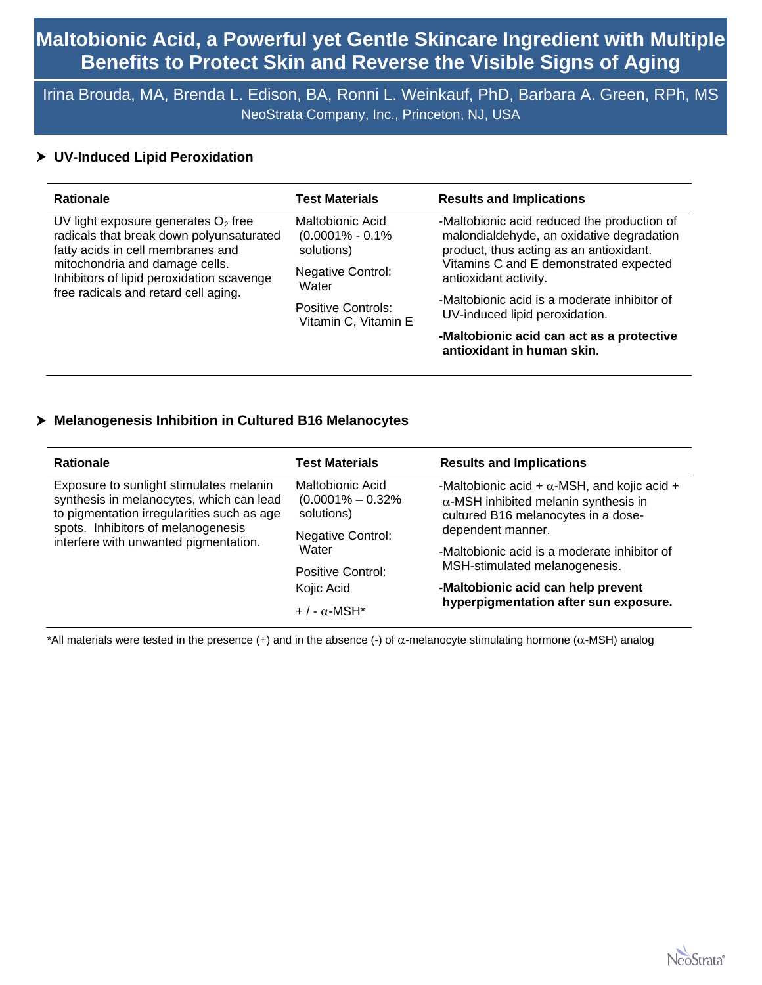Irina Brouda, MA, Brenda L. Edison, BA, Ronni L. Weinkauf, PhD, Barbara A. Green, RPh, MS NeoStrata Company, Inc., Princeton, NJ, USA

## **UV-Induced Lipid Peroxidation**

| <b>Rationale</b>                                                                                                                                                                                                                              | <b>Test Materials</b>                                                                       | <b>Results and Implications</b>                                                                                                                                                                        |
|-----------------------------------------------------------------------------------------------------------------------------------------------------------------------------------------------------------------------------------------------|---------------------------------------------------------------------------------------------|--------------------------------------------------------------------------------------------------------------------------------------------------------------------------------------------------------|
| UV light exposure generates $O2$ free<br>radicals that break down polyunsaturated<br>fatty acids in cell membranes and<br>mitochondria and damage cells.<br>Inhibitors of lipid peroxidation scavenge<br>free radicals and retard cell aging. | Maltobionic Acid<br>$(0.0001\% - 0.1\%)$<br>solutions)<br><b>Negative Control:</b><br>Water | -Maltobionic acid reduced the production of<br>malondialdehyde, an oxidative degradation<br>product, thus acting as an antioxidant.<br>Vitamins C and E demonstrated expected<br>antioxidant activity. |
|                                                                                                                                                                                                                                               | Positive Controls:<br>Vitamin C, Vitamin E                                                  | -Maltobionic acid is a moderate inhibitor of<br>UV-induced lipid peroxidation.                                                                                                                         |
|                                                                                                                                                                                                                                               |                                                                                             | -Maltobionic acid can act as a protective<br>antioxidant in human skin.                                                                                                                                |

## **Melanogenesis Inhibition in Cultured B16 Melanocytes**

| <b>Rationale</b>                                                                                                                  | <b>Test Materials</b>                                          | <b>Results and Implications</b>                                                                                                            |
|-----------------------------------------------------------------------------------------------------------------------------------|----------------------------------------------------------------|--------------------------------------------------------------------------------------------------------------------------------------------|
| Exposure to sunlight stimulates melanin<br>synthesis in melanocytes, which can lead<br>to pigmentation irregularities such as age | <b>Maltobionic Acid</b><br>$(0.0001\% - 0.32\%)$<br>solutions) | -Maltobionic acid + $\alpha$ -MSH, and kojic acid +<br>$\alpha$ -MSH inhibited melanin synthesis in<br>cultured B16 melanocytes in a dose- |
| spots. Inhibitors of melanogenesis<br>interfere with unwanted pigmentation.                                                       | <b>Negative Control:</b>                                       | dependent manner.                                                                                                                          |
|                                                                                                                                   | Water                                                          | -Maltobionic acid is a moderate inhibitor of                                                                                               |
|                                                                                                                                   | Positive Control:                                              | MSH-stimulated melanogenesis.                                                                                                              |
|                                                                                                                                   | Kojic Acid                                                     | -Maltobionic acid can help prevent                                                                                                         |
|                                                                                                                                   | $+$ / - $\alpha$ -MSH*                                         | hyperpigmentation after sun exposure.                                                                                                      |

 $*$ All materials were tested in the presence (+) and in the absence (-) of  $\alpha$ -melanocyte stimulating hormone ( $\alpha$ -MSH) analog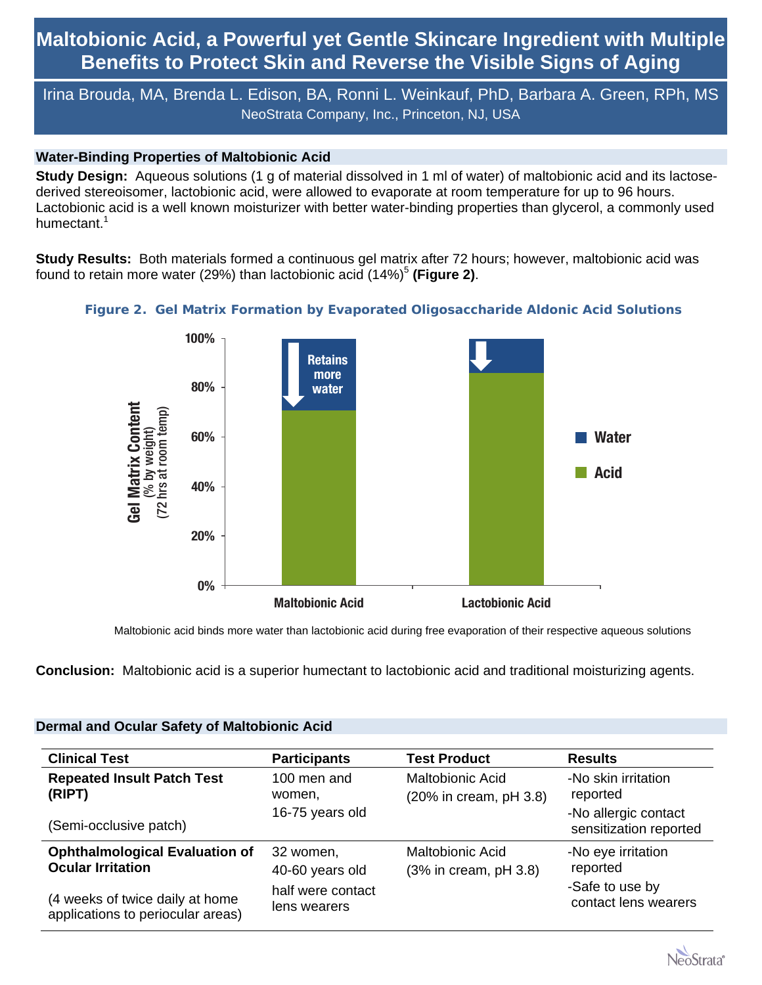Irina Brouda, MA, Brenda L. Edison, BA, Ronni L. Weinkauf, PhD, Barbara A. Green, RPh, MS NeoStrata Company, Inc., Princeton, NJ, USA

## **Water-Binding Properties of Maltobionic Acid**

**Study Design:** Aqueous solutions (1 g of material dissolved in 1 ml of water) of maltobionic acid and its lactosederived stereoisomer, lactobionic acid, were allowed to evaporate at room temperature for up to 96 hours. Lactobionic acid is a well known moisturizer with better water-binding properties than glycerol, a commonly used humectant.<sup>1</sup>

**Study Results:** Both materials formed a continuous gel matrix after 72 hours; however, maltobionic acid was found to retain more water (29%) than lactobionic acid (14%)<sup>5</sup> (Figure 2).



## **Figure 2. Gel Matrix Formation by Evaporated Oligosaccharide Aldonic Acid Solutions**

Maltobionic acid binds more water than lactobionic acid during free evaporation of their respective aqueous solutions

**Conclusion:** Maltobionic acid is a superior humectant to lactobionic acid and traditional moisturizing agents.

| <b>Clinical Test</b>                  | <b>Participants</b> | <b>Test Product</b>       | <b>Results</b>                                 |
|---------------------------------------|---------------------|---------------------------|------------------------------------------------|
| <b>Repeated Insult Patch Test</b>     | 100 men and         | <b>Maltobionic Acid</b>   | -No skin irritation                            |
| (RIPT)                                | women,              | (20% in cream, pH 3.8)    | reported                                       |
| (Semi-occlusive patch)                | 16-75 years old     |                           | -No allergic contact<br>sensitization reported |
| <b>Ophthalmological Evaluation of</b> | 32 women,           | <b>Maltobionic Acid</b>   | -No eye irritation                             |
| <b>Ocular Irritation</b>              | 40-60 years old     | $(3%$ in cream, pH $3.8)$ | reported                                       |
| (4 weeks of twice daily at home       | half were contact   |                           | -Safe to use by                                |
| applications to periocular areas)     | lens wearers        |                           | contact lens wearers                           |

## **Dermal and Ocular Safety of Maltobionic Acid**

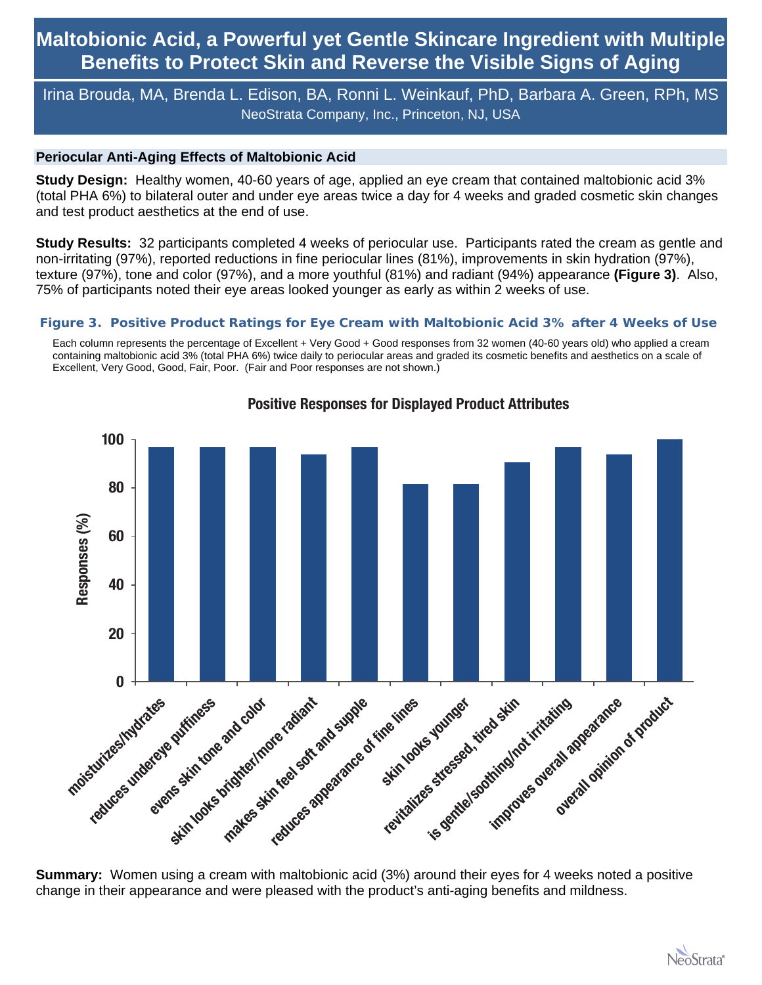# Irina Brouda, MA, Brenda L. Edison, BA, Ronni L. Weinkauf, PhD, Barbara A. Green, RPh, MS NeoStrata Company, Inc., Princeton, NJ, USA

### **Periocular Anti-Aging Effects of Maltobionic Acid**

**Study Design:** Healthy women, 40-60 years of age, applied an eye cream that contained maltobionic acid 3% (total PHA 6%) to bilateral outer and under eye areas twice a day for 4 weeks and graded cosmetic skin changes and test product aesthetics at the end of use.

**Study Results:** 32 participants completed 4 weeks of periocular use. Participants rated the cream as gentle and non-irritating (97%), reported reductions in fine periocular lines (81%), improvements in skin hydration (97%), texture (97%), tone and color (97%), and a more youthful (81%) and radiant (94%) appearance **(Figure 3)**. Also, 75% of participants noted their eye areas looked younger as early as within 2 weeks of use.

### **Figure 3. Positive Product Ratings for Eye Cream with Maltobionic Acid 3% after 4 Weeks of Use**

Each column represents the percentage of Excellent + Very Good + Good responses from 32 women (40-60 years old) who applied a cream containing maltobionic acid 3% (total PHA 6%) twice daily to periocular areas and graded its cosmetic benefits and aesthetics on a scale of Excellent, Very Good, Good, Fair, Poor. (Fair and Poor responses are not shown.)



## **Positive Responses for Displayed Product Attributes**

**Summary:** Women using a cream with maltobionic acid (3%) around their eyes for 4 weeks noted a positive change in their appearance and were pleased with the product's anti-aging benefits and mildness.